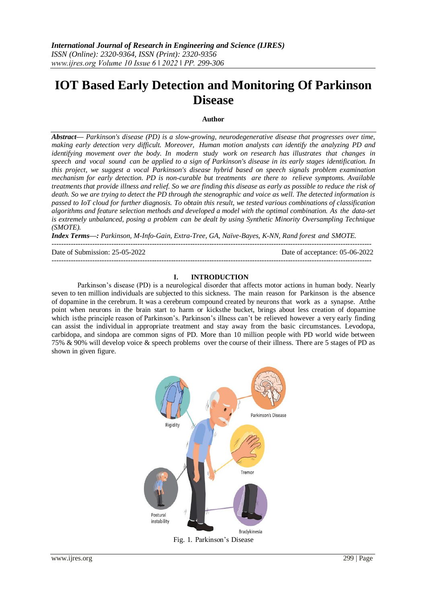# **IOT Based Early Detection and Monitoring Of Parkinson Disease**

#### **Author**

*Abstract— Parkinson's disease (PD) is a slow-growing, neurodegenerative disease that progresses over time, making early detection very difficult. Moreover, Human motion analysts can identify the analyzing PD and identifying movement over the body. In modern study work on research has illustrates that changes in speech and vocal sound can be applied to a sign of Parkinson's disease in its early stages identification. In this project, we suggest a vocal Parkinson's disease hybrid based on speech signals problem examination mechanism for early detection. PD is non-curable but treatments are there to relieve symptoms. Available treatments that provide illness and relief. So we are finding this disease as early as possible to reduce the risk of death. So we are trying to detect the PD through the stenographic and voice as well. The detected information is passed to IoT cloud for further diagnosis. To obtain this result, we tested various combinations of classification algorithms and feature selection methods and developed a model with the optimal combination. As the data-set is extremely unbalanced, posing a problem can be dealt by using Synthetic Minority Oversampling Technique (SMOTE).*

*Index Terms—: Parkinson, M-Info-Gain, Extra-Tree, GA, Naïve-Bayes, K-NN, Rand forest and SMOTE.* --------------------------------------------------------------------------------------------------------------------------------------

Date of Submission: 25-05-2022 Date of acceptance: 05-06-2022

#### **I. INTRODUCTION**

--------------------------------------------------------------------------------------------------------------------------------------

Parkinson's disease (PD) is a neurological disorder that affects motor actions in human body. Nearly seven to ten million individuals are subjected to this sickness. The main reason for Parkinson is the absence of dopamine in the cerebrum. It was a cerebrum compound created by neurons that work as a synapse. Atthe point when neurons in the brain start to harm or kicksthe bucket, brings about less creation of dopamine which isthe principle reason of Parkinson's. Parkinson's illness can't be relieved however a very early finding can assist the individual in appropriate treatment and stay away from the basic circumstances. Levodopa, carbidopa, and sindopa are common signs of PD. More than 10 million people with PD world wide between 75% & 90% will develop voice & speech problems over the course of their illness. There are 5 stages of PD as shown in given figure.

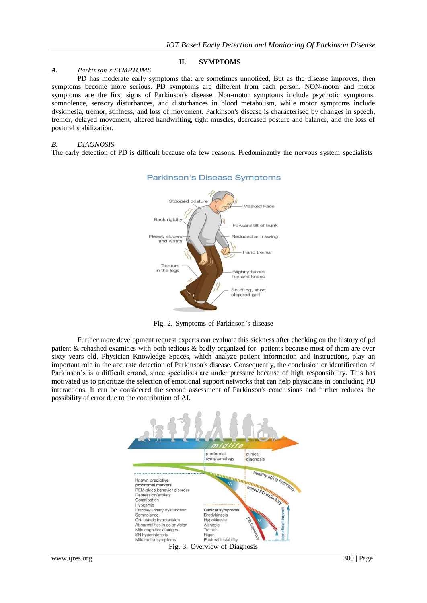# **II. SYMPTOMS**

#### *A. Parkinson's SYMPTOMS*

PD has moderate early symptoms that are sometimes unnoticed, But as the disease improves, then symptoms become more serious. PD symptoms are different from each person. NON-motor and motor symptoms are the first signs of Parkinson's disease. Non-motor symptoms include psychotic symptoms, somnolence, sensory disturbances, and disturbances in blood metabolism, while motor symptoms include dyskinesia, tremor, stiffness, and loss of movement. Parkinson's disease is characterised by changes in speech, tremor, delayed movement, altered handwriting, tight muscles, decreased posture and balance, and the loss of postural stabilization.

#### *B. DIAGNOSIS*

The early detection of PD is difficult because ofa few reasons. Predominantly the nervous system specialists



### **Parkinson's Disease Symptoms**

Fig. 2. Symptoms of Parkinson's disease

Further more development request experts can evaluate this sickness after checking on the history of pd patient & rehashed examines with both tedious & badly organized for patients because most of them are over sixty years old. Physician Knowledge Spaces, which analyze patient information and instructions, play an important role in the accurate detection of Parkinson's disease. Consequently, the conclusion or identification of Parkinson's is a difficult errand, since specialists are under pressure because of high responsibility. This has motivated us to prioritize the selection of emotional support networks that can help physicians in concluding PD interactions. It can be considered the second assessment of Parkinson's conclusions and further reduces the possibility of error due to the contribution of AI.

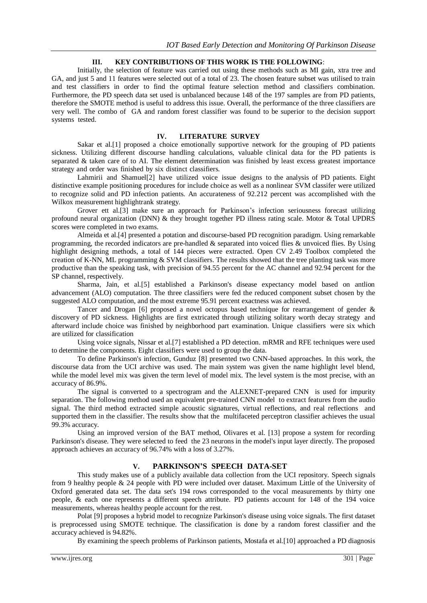# **III. KEY CONTRIBUTIONS OF THIS WORK IS THE FOLLOWING**:

Initially, the selection of feature was carried out using these methods such as MI gain, xtra tree and GA, and just 5 and 11 features were selected out of a total of 23. The chosen feature subset was utilised to train and test classifiers in order to find the optimal feature selection method and classifiers combination. Furthermore, the PD speech data set used is unbalanced because 148 of the 197 samples are from PD patients, therefore the SMOTE method is useful to address this issue. Overall, the performance of the three classifiers are very well. The combo of GA and random forest classifier was found to be superior to the decision support systems tested.

### **IV. LITERATURE SURVEY**

Sakar et al.[1] proposed a choice emotionally supportive network for the grouping of PD patients sickness. Utilizing different discourse handling calculations, valuable clinical data for the PD patients is separated & taken care of to AI. The element determination was finished by least excess greatest importance strategy and order was finished by six distinct classifiers.

Lahmirii and Shamuel[2] have utilized voice issue designs to the analysis of PD patients. Eight distinctive example positioning procedures for include choice as well as a nonlinear SVM classifer were utilized to recognize solid and PD infection patients. An accurateness of 92.212 percent was accomplished with the Wilkox measurement highlightrank strategy.

Grover ett al.[3] make sure an approach for Parkinson's infection seriousness forecast utilizing profound neural organization (DNN) & they brought together PD illness rating scale. Motor & Total UPDRS scores were completed in two exams.

Almeida et al.[4] presented a potation and discourse-based PD recognition paradigm. Using remarkable programming, the recorded indicators are pre-handled & separated into voiced flies & unvoiced flies. By Using highlight designing methods, a total of 144 pieces were extracted. Open CV 2.49 Toolbox completed the creation of K-NN, ML programming & SVM classifiers. The results showed that the tree planting task was more productive than the speaking task, with precision of 94.55 percent for the AC channel and 92.94 percent for the SP channel, respectively.

Sharma, Jain, et al.[5] established a Parkinson's disease expectancy model based on antlion advancement (ALO) computation. The three classifiers were fed the reduced component subset chosen by the suggested ALO computation, and the most extreme 95.91 percent exactness was achieved.

Tancer and Drogan [6] proposed a novel octopus based technique for rearrangement of gender & discovery of PD sickness. Highlights are first extricated through utilizing solitary worth decay strategy and afterward include choice was finished by neighborhood part examination. Unique classifiers were six which are utilized for classification

Using voice signals, Nissar et al.[7] established a PD detection. mRMR and RFE techniques were used to determine the components. Eight classifiers were used to group the data.

To define Parkinson's infection, Gunduz [8] presented two CNN-based approaches. In this work, the discourse data from the UCI archive was used. The main system was given the name highlight level blend, while the model level mix was given the term level of model mix. The level system is the most precise, with an accuracy of 86.9%.

The signal is converted to a spectrogram and the ALEXNET-prepared CNN is used for impurity separation. The following method used an equivalent pre-trained CNN model to extract features from the audio signal. The third method extracted simple acoustic signatures, virtual reflections, and real reflections and supported them in the classifier. The results show that the multifaceted perceptron classifier achieves the usual 99.3% accuracy.

Using an improved version of the BAT method, Olivares et al. [13] propose a system for recording Parkinson's disease. They were selected to feed the 23 neurons in the model's input layer directly. The proposed approach achieves an accuracy of 96.74% with a loss of 3.27%.

# **V. PARKINSON'S SPEECH DATA-SET**

This study makes use of a publicly available data collection from the UCI repository. Speech signals from 9 healthy people & 24 people with PD were included over dataset. Maximum Little of the University of Oxford generated data set. The data set's 194 rows corresponded to the vocal measurements by thirty one people, & each one represents a different speech attribute. PD patients account for 148 of the 194 voice measurements, whereas healthy people account for the rest.

Polat [9] proposes a hybrid model to recognize Parkinson's disease using voice signals. The first dataset is preprocessed using SMOTE technique. The classification is done by a random forest classifier and the accuracy achieved is 94.82%.

By examining the speech problems of Parkinson patients, Mostafa et al.[10] approached a PD diagnosis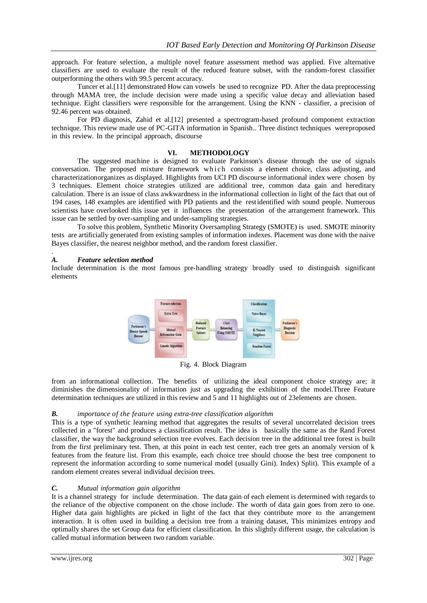approach. For feature selection, a multiple novel feature assessment method was applied. Five alternative classifiers are used to evaluate the result of the reduced feature subset, with the random-forest classifier outperforming the others with 99.5 percent accuracy.

Tuncer et al.[11] demonstrated How can vowels be used to recognize PD. After the data preprocessing through MAMA tree, the include decision were made using a specific value decay and alleviation based technique. Eight classifiers were responsible for the arrangement. Using the KNN - classifier, a precision of 92.46 percent was obtained.

For PD diagnosis, Zahid et al.[12] presented a spectrogram-based profound component extraction technique. This review made use of PC-GITA information in Spanish.. Three distinct techniques wereproposed in this review. In the principal approach, discourse

### **VI. METHODOLOGY**

The suggested machine is designed to evaluate Parkinson's disease through the use of signals conversation. The proposed mixture framework which consists a element choice, class adjusting, and characterizationorganizes as displayed. Highlights from UCI PD discourse informational index were chosen by 3 techniques. Element choice strategies utilized are additional tree, common data gain and hereditary calculation. There is an issue of class awkwardness in the informational collection in light of the fact that out of 194 cases, 148 examples are identified with PD patients and the restidentified with sound people. Numerous scientists have overlooked this issue yet it influences the presentation of the arrangement framework. This issue can be settled by over-sampling and under-sampling strategies.

To solve this problem, Synthetic Minority Oversampling Strategy (SMOTE) is used. SMOTE minority tests are artificially generated from existing samples of information indexes. Placement was done with the naive Bayes classifier, the nearest neighbor method, and the random forest classifier.

## *A. Feature selection method*

.

Include determination is the most famous pre-handling strategy broadly used to distinguish significant elements



Fig. 4. Block Diagram

from an informational collection. The benefits of utilizing the ideal component choice strategy are; it diminishes the dimensionality of information just as upgrading the exhibition of the model.Three Feature determination techniques are utilized in this review and 5 and 11 highlights out of 23elements are chosen.

# *B. importance of the feature using extra-tree classification algorithm*

This is a type of synthetic learning method that aggregates the results of several uncorrelated decision trees collected in a "forest" and produces a classification result. The idea is basically the same as the Rand Forest classifier, the way the background selection tree evolves. Each decision tree in the additional tree forest is built from the first preliminary test. Then, at this point in each test center, each tree gets an anomaly version of k features from the feature list. From this example, each choice tree should choose the best tree component to represent the information according to some numerical model (usually Gini). Index) Split). This example of a random element creates several individual decision trees.

# *C. Mutual information gain algorithm*

It is a channel strategy for include determination. The data gain of each element is determined with regards to the reliance of the objective component on the chose include. The worth of data gain goes from zero to one. Higher data gain highlights are picked in light of the fact that they contribute more to the arrangement interaction. It is often used in building a decision tree from a training dataset, This minimizes entropy and optimally shares the set Group data for efficient classification. In this slightly different usage, the calculation is called mutual information between two random variable.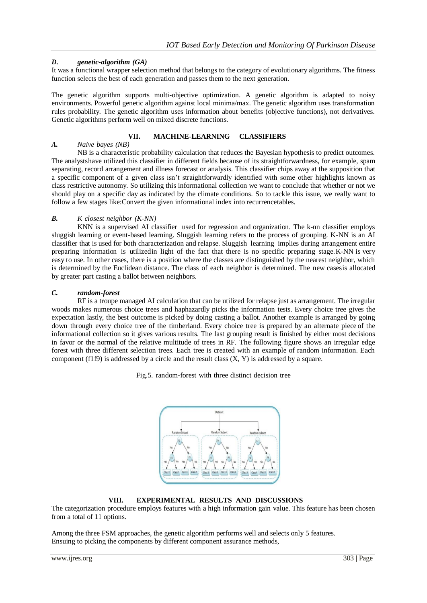# *D. genetic-algorithm (GA)*

It was a functional wrapper selection method that belongs to the category of evolutionary algorithms. The fitness function selects the best of each generation and passes them to the next generation.

The genetic algorithm supports multi-objective optimization. A genetic algorithm is adapted to noisy environments. Powerful genetic algorithm against local minima/max. The genetic algorithm uses transformation rules probability. The genetic algorithm uses information about benefits (objective functions), not derivatives. Genetic algorithms perform well on mixed discrete functions.

# **VII. MACHINE-LEARNING CLASSIFIERS**

# *A. Naive bayes (NB)*

NB is a characteristic probability calculation that reduces the Bayesian hypothesis to predict outcomes. The analystshave utilized this classifier in different fields because of its straightforwardness, for example, spam separating, record arrangement and illness forecast or analysis. This classifier chips away at the supposition that a specific component of a given class isn't straightforwardly identified with some other highlights known as class restrictive autonomy. So utilizing this informational collection we want to conclude that whether or not we should play on a specific day as indicated by the climate conditions. So to tackle this issue, we really want to follow a few stages like:Convert the given informational index into recurrencetables.

## *B. K closest neighbor (K-NN)*

KNN is a supervised AI classifier used for regression and organization. The k-nn classifier employs sluggish learning or event-based learning. Sluggish learning refers to the process of grouping. K-NN is an AI classifier that is used for both characterization and relapse. Sluggish learning implies during arrangement entire preparing information is utilizedin light of the fact that there is no specific preparing stage.K-NN is very easy to use. In other cases, there is a position where the classes are distinguished by the nearest neighbor, which is determined by the Euclidean distance. The class of each neighbor is determined. The new casesis allocated by greater part casting a ballot between neighbors.

## *C. random-forest*

RF is a troupe managed AI calculation that can be utilized for relapse just as arrangement. The irregular woods makes numerous choice trees and haphazardly picks the information tests. Every choice tree gives the expectation lastly, the best outcome is picked by doing casting a ballot. Another example is arranged by going down through every choice tree of the timberland. Every choice tree is prepared by an alternate piece of the informational collection so it gives various results. The last grouping result is finished by either most decisions in favor or the normal of the relative multitude of trees in RF. The following figure shows an irregular edge forest with three different selection trees. Each tree is created with an example of random information. Each component (f1f9) is addressed by a circle and the result class  $(X, Y)$  is addressed by a square.

Fig.5. random-forest with three distinct decision tree



# **VIII. EXPERIMENTAL RESULTS AND DISCUSSIONS**

The categorization procedure employs features with a high information gain value. This feature has been chosen from a total of 11 options.

Among the three FSM approaches, the genetic algorithm performs well and selects only 5 features. Ensuing to picking the components by different component assurance methods,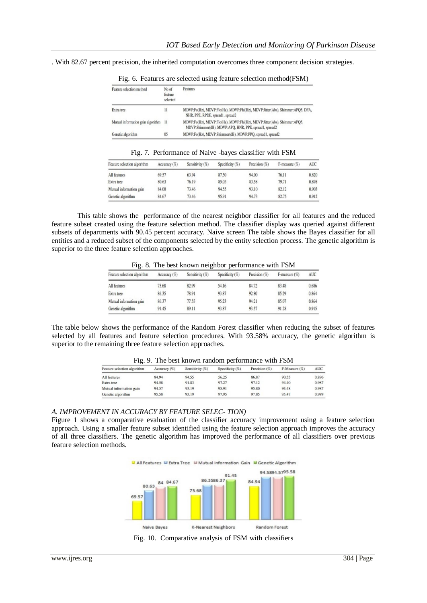. With 82.67 percent precision, the inherited computation overcomes three component decision strategies.

| Feature selection method          | No of<br>feature<br>selected | Features                                                                                                                           |
|-----------------------------------|------------------------------|------------------------------------------------------------------------------------------------------------------------------------|
| Extra tree                        | $\frac{1}{2}$                | MDVP:Fo(Hz), MDVP:Flo(Hz), MDVP:Fhi(Hz), MDVP:Jitter(Abs), Shimmer:APQ5, DFA,<br>NHR, PPE, RPDE, spread1, spread2                  |
| Mutual information gain algorithm | $\frac{11}{2}$               | MDVP:Fo(Hz), MDVP:Flo(Hz), MDVP:Fhi(Hz), MDVP:Jitter(Abs), Shimmer:APQ5,<br>MDVP:Shimmer(dB), MDVP:APQ, HNR, PPE, spread1, spread2 |
| Genetic algorithm                 | 05                           | MDVP:Fo(Hz), MDVP:Shimmer(dB), MDVP:PPQ, spread1, spread2                                                                          |

Fig. 6. Features are selected using feature selection method(FSM)

|  | Fig. 7. Performance of Naive -bayes classifier with FSM |  |  |  |
|--|---------------------------------------------------------|--|--|--|
|  |                                                         |  |  |  |

| Feature selection algorithm | Accuracy (%) | Sensitivity (%) | Specificity (%) | Precision $(\%)$ | $F$ -measure $(\%)$ | <b>AUC</b> |
|-----------------------------|--------------|-----------------|-----------------|------------------|---------------------|------------|
| All features                | 69.57        | 63.94           | 87.50           | 94.00            | 76.11               | 0.820      |
| Extra tree                  | 80.63        | 76.19           | 85.03           | 83.58            | 79.71               | 0.898      |
| Mutual information gain     | 84.00        | 73.46           | 94.55           | 93.10            | 82.12               | 0.903      |
| Genetic algorithm           | 84.67        | 73.46           | 95.91           | 94.73            | 82.75               | 0.912      |

This table shows the performance of the nearest neighbor classifier for all features and the reduced feature subset created using the feature selection method. The classifier display was queried against different subsets of departments with 90.45 percent accuracy. Naive screen The table shows the Bayes classifier for all entities and a reduced subset of the components selected by the entity selection process. The genetic algorithm is superior to the three feature selection approaches.

Fig. 8. The best known neighbor performance with FSM

| Feature selection algorithm | Accuracy (%) | Sensitivity (%) | Specificity (%) | Precision (%) | $F$ -measure $(\%)$ | <b>AUC</b> |
|-----------------------------|--------------|-----------------|-----------------|---------------|---------------------|------------|
| All features                | 75.68        | 82.99           | 54.16           | 84.72         | 83.48               | 0.686      |
| Extra tree                  | 86.35        | 78.91           | 93.87           | 92.80         | 85.29               | 0.864      |
| Mutual information gain     | 86.37        | 77.55           | 95.23           | 94.21         | 85.07               | 0.864      |
| Genetic algorithm           | 91.45        | 89.11           | 93.87           | 93.57         | 91.28               | 0.915      |

The table below shows the performance of the Random Forest classifier when reducing the subset of features selected by all features and feature selection procedures. With 93.58% accuracy, the genetic algorithm is superior to the remaining three feature selection approaches.

| Feature selection algorithm | Accuracy (%) | Sensitivity (%) | Specificity (%) | Precision (%) | F-Measure (%) | <b>AUC</b> |
|-----------------------------|--------------|-----------------|-----------------|---------------|---------------|------------|
| All features                | 84.94        | 94.55           | 56.25           | 86.87         | 90.55         | 0.896      |
| Extra tree                  | 94.58        | 91.83           | 97.27           | 97.12         | 94.40         | 0.987      |
| Mutual information gain     | 94.57        | 93.19           | 95.91           | 95.80         | 94.48         | 0.987      |
| Genetic algorithm           | 95.58        | 93.19           | 97.95           | 97.85         | 95.47         | 0.989      |

Fig. 9. The best known random performance with FSM

#### *A. IMPROVEMENT IN ACCURACY BY FEATURE SELEC- TION)*

Figure 1 shows a comparative evaluation of the classifier accuracy improvement using a feature selection approach. Using a smaller feature subset identified using the feature selection approach improves the accuracy of all three classifiers. The genetic algorithm has improved the performance of all classifiers over previous feature selection methods.



Fig. 10. Comparative analysis of FSM with classifiers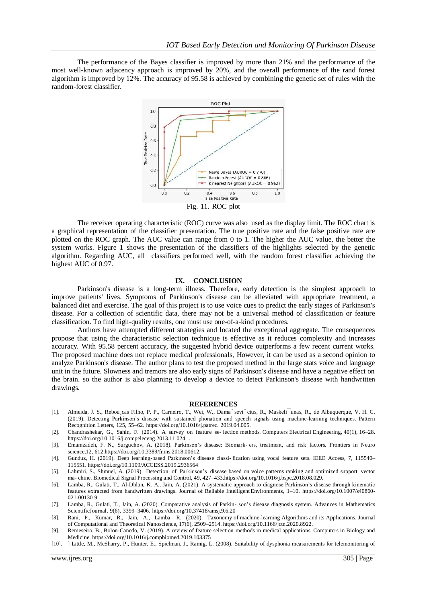The performance of the Bayes classifier is improved by more than 21% and the performance of the most well-known adjacency approach is improved by 20%, and the overall performance of the rand forest algorithm is improved by 12%. The accuracy of 95.58 is achieved by combining the genetic set of rules with the random-forest classifier.



The receiver operating characteristic (ROC) curve was also used as the display limit. The ROC chart is a graphical representation of the classifier presentation. The true positive rate and the false positive rate are plotted on the ROC graph. The AUC value can range from 0 to 1. The higher the AUC value, the better the system works. Figure 1 shows the presentation of the classifiers of the highlights selected by the genetic algorithm. Regarding AUC, all classifiers performed well, with the random forest classifier achieving the highest AUC of 0.97.

#### **IX. CONCLUSION**

Parkinson's disease is a long-term illness. Therefore, early detection is the simplest approach to improve patients' lives. Symptoms of Parkinson's disease can be alleviated with appropriate treatment, a balanced diet and exercise. The goal of this project is to use voice cues to predict the early stages of Parkinson's disease. For a collection of scientific data, there may not be a universal method of classification or feature classification. To find high-quality results, one must use one-of-a-kind procedures.

Authors have attempted different strategies and located the exceptional aggregate. The consequences propose that using the characteristic selection technique is effective as it reduces complexity and increases accuracy. With 95.58 percent accuracy, the suggested hybrid device outperforms a few recent current works. The proposed machine does not replace medical professionals, However, it can be used as a second opinion to analyze Parkinson's disease. The author plans to test the proposed method in the large stats voice and language unit in the future. Slowness and tremors are also early signs of Parkinson's disease and have a negative effect on the brain. so the author is also planning to develop a device to detect Parkinson's disease with handwritten drawings.

#### **REFERENCES**

- [1]. Almeida, J. S., Rebou¸cas Filho, P. P., Carneiro, T., Wei, W., Damaˇseviˇcius, R., Maskeli¯unas, R., de Albuquerque, V. H. C. (2019). Detecting Parkinson's disease with sustained phonation and speech signals using machine-learning techniques. Pattern Recognition Letters, 125, 55–62. https://doi.org/10.1016/j.patrec. 2019.04.005.
- [2]. Chandrashekar, G., Sahin, F. (2014). A survey on feature se- lection methods. Computers Electrical Engineering, 40(1), 16–28. https://doi.org/10.1016/j.compeleceng.2013.11.024 ..
- [3]. Emamzadeh, F. N., Surguchov, A. (2018). Parkinson's disease: Biomark- ers, treatment, and risk factors. Frontiers in Neuro science,12, 612.https://doi.org/10.3389/fnins.2018.00612.
- [4]. Gunduz, H. (2019). Deep learning-based Parkinson's disease classi- fication using vocal feature sets. IEEE Access, 7, 115540– 115551. https://doi.org/10.1109/ACCESS.2019.2936564
- [5]. Lahmiri, S., Shmuel, A. (2019). Detection of Parkinson's disease based on voice patterns ranking and optimized support vector ma- chine. Biomedical Signal Processing and Control, 49, 427–433.https://doi.org/10.1016/j.bspc.2018.08.029.
- [6]. Lamba, R., Gulati, T., Al-Dhlan, K. A., Jain, A. (2021). A systematic approach to diagnose Parkinson's disease through kinematic features extracted from handwritten drawings. Journal of Reliable Intelligent Environments, 1–10. https://doi.org/10.1007/s40860- 021-00130-9
- [7]. Lamba, R., Gulati, T., Jain, A. (2020). Comparative analysis of Parkin- son's disease diagnosis system. Advances in Mathematics ScientificJournal, 9(6), 3399–3406. https://doi.org/10.37418/amsj.9.6.20
- [8]. Rani, P., Kumar, R., Jain, A., Lamba, R. (2020). Taxonomy of machine-learning Algorithms and its Applications. Journal of Computational and Theoretical Nanoscience, 17(6), 2509–2514. https://doi.org/10.1166/jctn.2020.8922.
- [9]. Remeseiro, B., Bolon-Canedo, V. (2019). A review of feature selection methods in medical applications. Computers in Biology and Medicine. https://doi.org/10.1016/j.compbiomed.2019.103375
- [10]. ] Little, M., McSharry, P., Hunter, E., Spielman, J., Ramig, L. (2008). Suitability of dysphonia measurements for telemonitoring of